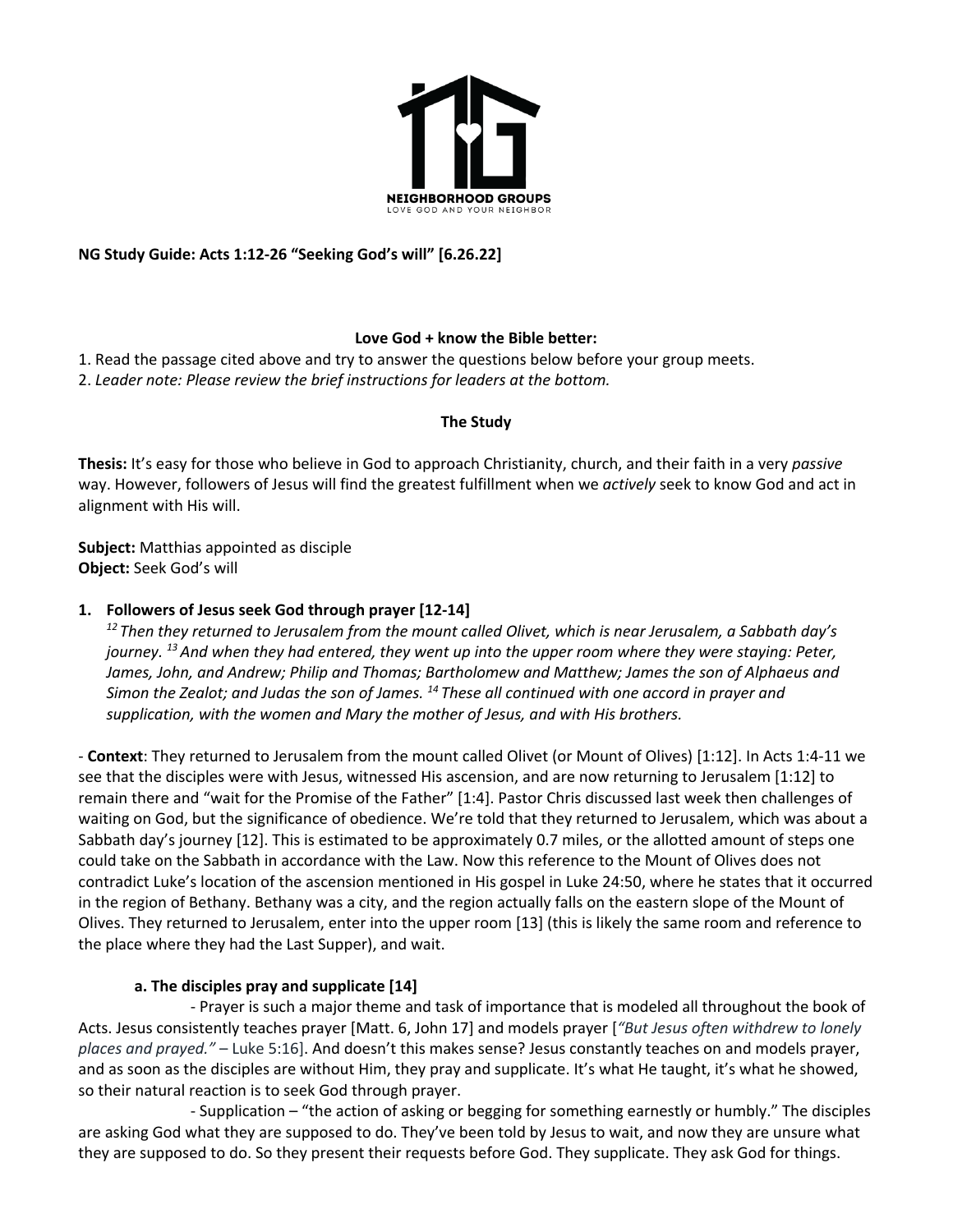

# **NG Study Guide: Acts 1:12-26 "Seeking God's will" [6.26.22]**

# **Love God + know the Bible better:**

1. Read the passage cited above and try to answer the questions below before your group meets.

2. *Leader note: Please review the brief instructions for leaders at the bottom.*

### **The Study**

**Thesis:** It's easy for those who believe in God to approach Christianity, church, and their faith in a very *passive* way. However, followers of Jesus will find the greatest fulfillment when we *actively* seek to know God and act in alignment with His will.

**Subject:** Matthias appointed as disciple **Object:** Seek God's will

### **1. Followers of Jesus seek God through prayer [12-14]**

*<sup>12</sup> Then they returned to Jerusalem from the mount called Olivet, which is near Jerusalem, a Sabbath day's journey. 13 And when they had entered, they went up into the upper room where they were staying: Peter, James, John, and Andrew; Philip and Thomas; Bartholomew and Matthew; James the son of Alphaeus and Simon the Zealot; and Judas the son of James. 14 These all continued with one accord in prayer and supplication, with the women and Mary the mother of Jesus, and with His brothers.*

- **Context**: They returned to Jerusalem from the mount called Olivet (or Mount of Olives) [1:12]. In Acts 1:4-11 we see that the disciples were with Jesus, witnessed His ascension, and are now returning to Jerusalem [1:12] to remain there and "wait for the Promise of the Father" [1:4]. Pastor Chris discussed last week then challenges of waiting on God, but the significance of obedience. We're told that they returned to Jerusalem, which was about a Sabbath day's journey [12]. This is estimated to be approximately 0.7 miles, or the allotted amount of steps one could take on the Sabbath in accordance with the Law. Now this reference to the Mount of Olives does not contradict Luke's location of the ascension mentioned in His gospel in Luke 24:50, where he states that it occurred in the region of Bethany. Bethany was a city, and the region actually falls on the eastern slope of the Mount of Olives. They returned to Jerusalem, enter into the upper room [13] (this is likely the same room and reference to the place where they had the Last Supper), and wait.

### **a. The disciples pray and supplicate [14]**

- Prayer is such a major theme and task of importance that is modeled all throughout the book of Acts. Jesus consistently teaches prayer [Matt. 6, John 17] and models prayer [*"But Jesus often withdrew to lonely places and prayed."* – Luke 5:16]. And doesn't this makes sense? Jesus constantly teaches on and models prayer, and as soon as the disciples are without Him, they pray and supplicate. It's what He taught, it's what he showed, so their natural reaction is to seek God through prayer.

- Supplication – "the action of asking or begging for something earnestly or humbly." The disciples are asking God what they are supposed to do. They've been told by Jesus to wait, and now they are unsure what they are supposed to do. So they present their requests before God. They supplicate. They ask God for things.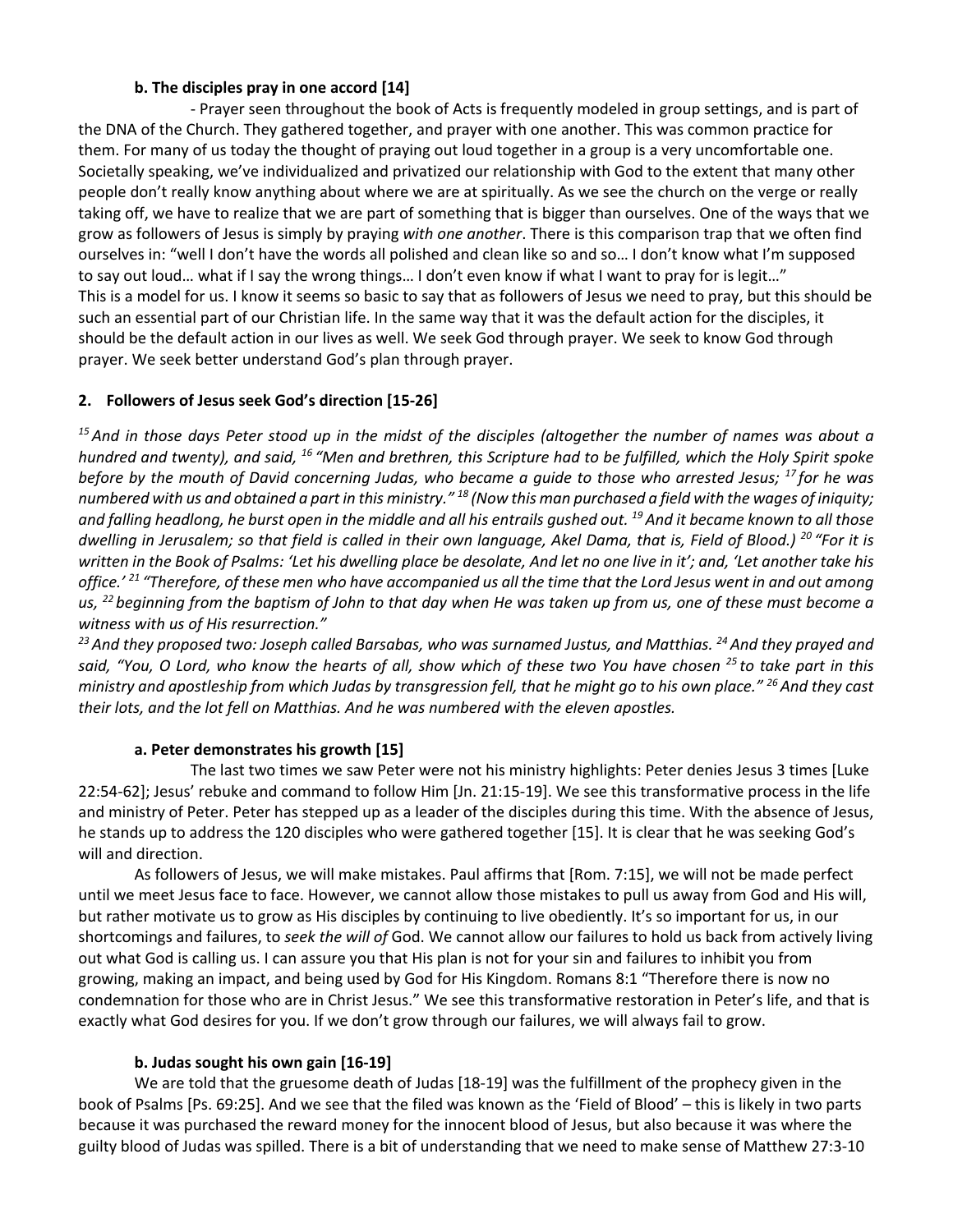### **b. The disciples pray in one accord [14]**

- Prayer seen throughout the book of Acts is frequently modeled in group settings, and is part of the DNA of the Church. They gathered together, and prayer with one another. This was common practice for them. For many of us today the thought of praying out loud together in a group is a very uncomfortable one. Societally speaking, we've individualized and privatized our relationship with God to the extent that many other people don't really know anything about where we are at spiritually. As we see the church on the verge or really taking off, we have to realize that we are part of something that is bigger than ourselves. One of the ways that we grow as followers of Jesus is simply by praying *with one another*. There is this comparison trap that we often find ourselves in: "well I don't have the words all polished and clean like so and so… I don't know what I'm supposed to say out loud... what if I say the wrong things... I don't even know if what I want to pray for is legit..." This is a model for us. I know it seems so basic to say that as followers of Jesus we need to pray, but this should be such an essential part of our Christian life. In the same way that it was the default action for the disciples, it should be the default action in our lives as well. We seek God through prayer. We seek to know God through prayer. We seek better understand God's plan through prayer.

### **2. Followers of Jesus seek God's direction [15-26]**

*<sup>15</sup> And in those days Peter stood up in the midst of the disciples (altogether the number of names was about a hundred and twenty), and said, 16 "Men and brethren, this Scripture had to be fulfilled, which the Holy Spirit spoke before by the mouth of David concerning Judas, who became a guide to those who arrested Jesus; 17 for he was numbered with us and obtained a part in this ministry." <sup>18</sup> (Now this man purchased a field with the wages of iniquity; and falling headlong, he burst open in the middle and all his entrails gushed out. 19 And it became known to all those dwelling in Jerusalem; so that field is called in their own language, Akel Dama, that is, Field of Blood.) <sup>20</sup> "For it is written in the Book of Psalms: 'Let his dwelling place be desolate, And let no one live in it'; and, 'Let another take his office.' <sup>21</sup> "Therefore, of these men who have accompanied us all the time that the Lord Jesus went in and out among us, 22 beginning from the baptism of John to that day when He was taken up from us, one of these must become a witness with us of His resurrection."*

*<sup>23</sup> And they proposed two: Joseph called Barsabas, who was surnamed Justus, and Matthias. 24 And they prayed and said, "You, O Lord, who know the hearts of all, show which of these two You have chosen 25 to take part in this ministry and apostleship from which Judas by transgression fell, that he might go to his own place." 26 And they cast their lots, and the lot fell on Matthias. And he was numbered with the eleven apostles.*

### **a. Peter demonstrates his growth [15]**

The last two times we saw Peter were not his ministry highlights: Peter denies Jesus 3 times [Luke 22:54-62]; Jesus' rebuke and command to follow Him [Jn. 21:15-19]. We see this transformative process in the life and ministry of Peter. Peter has stepped up as a leader of the disciples during this time. With the absence of Jesus, he stands up to address the 120 disciples who were gathered together [15]. It is clear that he was seeking God's will and direction.

As followers of Jesus, we will make mistakes. Paul affirms that [Rom. 7:15], we will not be made perfect until we meet Jesus face to face. However, we cannot allow those mistakes to pull us away from God and His will, but rather motivate us to grow as His disciples by continuing to live obediently. It's so important for us, in our shortcomings and failures, to *seek the will of* God. We cannot allow our failures to hold us back from actively living out what God is calling us. I can assure you that His plan is not for your sin and failures to inhibit you from growing, making an impact, and being used by God for His Kingdom. Romans 8:1 "Therefore there is now no condemnation for those who are in Christ Jesus." We see this transformative restoration in Peter's life, and that is exactly what God desires for you. If we don't grow through our failures, we will always fail to grow.

### **b. Judas sought his own gain [16-19]**

We are told that the gruesome death of Judas [18-19] was the fulfillment of the prophecy given in the book of Psalms [Ps. 69:25]. And we see that the filed was known as the 'Field of Blood' – this is likely in two parts because it was purchased the reward money for the innocent blood of Jesus, but also because it was where the guilty blood of Judas was spilled. There is a bit of understanding that we need to make sense of Matthew 27:3-10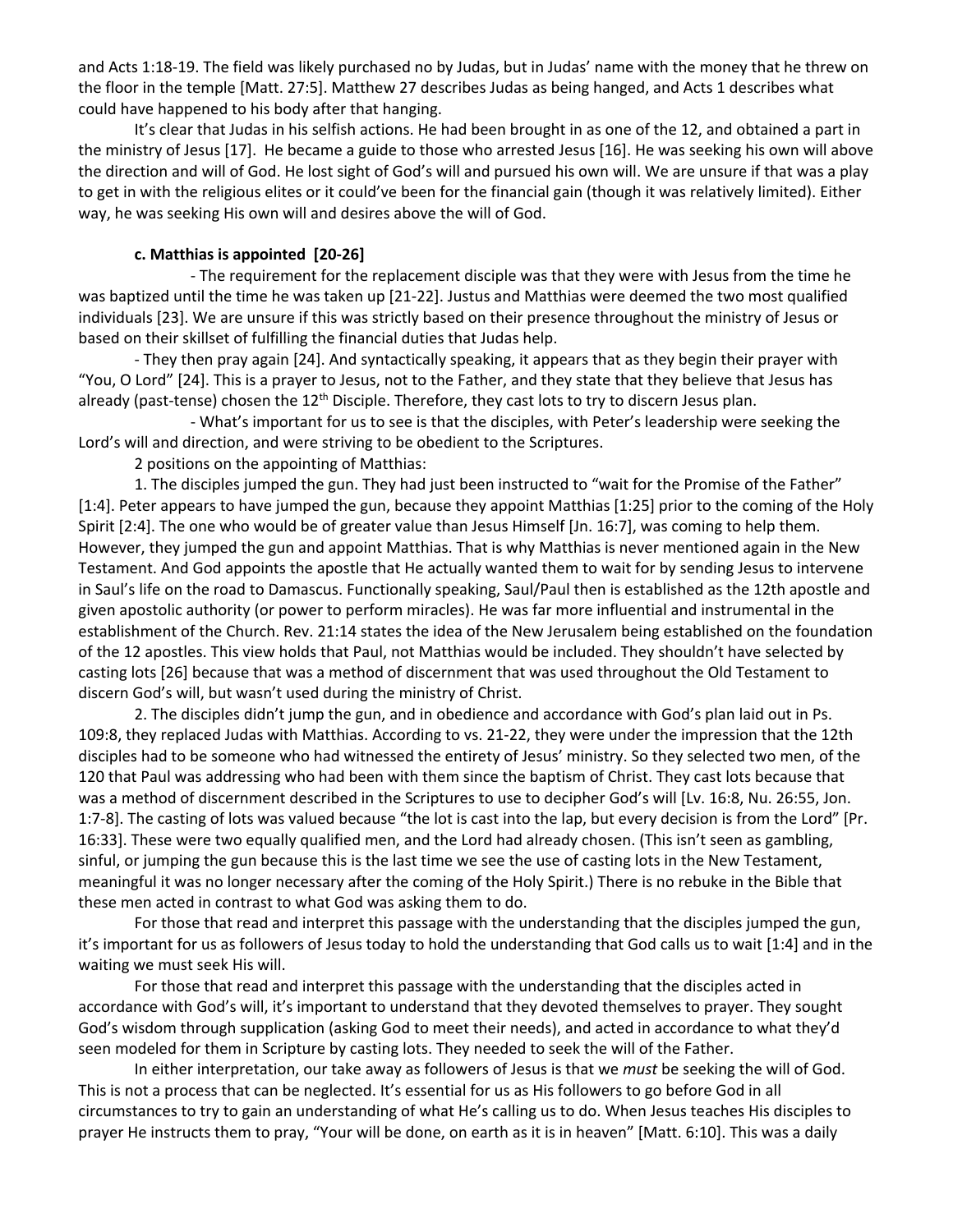and Acts 1:18-19. The field was likely purchased no by Judas, but in Judas' name with the money that he threw on the floor in the temple [Matt. 27:5]. Matthew 27 describes Judas as being hanged, and Acts 1 describes what could have happened to his body after that hanging.

It's clear that Judas in his selfish actions. He had been brought in as one of the 12, and obtained a part in the ministry of Jesus [17]. He became a guide to those who arrested Jesus [16]. He was seeking his own will above the direction and will of God. He lost sight of God's will and pursued his own will. We are unsure if that was a play to get in with the religious elites or it could've been for the financial gain (though it was relatively limited). Either way, he was seeking His own will and desires above the will of God.

#### **c. Matthias is appointed [20-26]**

- The requirement for the replacement disciple was that they were with Jesus from the time he was baptized until the time he was taken up [21-22]. Justus and Matthias were deemed the two most qualified individuals [23]. We are unsure if this was strictly based on their presence throughout the ministry of Jesus or based on their skillset of fulfilling the financial duties that Judas help.

- They then pray again [24]. And syntactically speaking, it appears that as they begin their prayer with "You, O Lord" [24]. This is a prayer to Jesus, not to the Father, and they state that they believe that Jesus has already (past-tense) chosen the  $12<sup>th</sup>$  Disciple. Therefore, they cast lots to try to discern Jesus plan.

- What's important for us to see is that the disciples, with Peter's leadership were seeking the Lord's will and direction, and were striving to be obedient to the Scriptures.

2 positions on the appointing of Matthias:

1. The disciples jumped the gun. They had just been instructed to "wait for the Promise of the Father" [1:4]. Peter appears to have jumped the gun, because they appoint Matthias [1:25] prior to the coming of the Holy Spirit [2:4]. The one who would be of greater value than Jesus Himself [Jn. 16:7], was coming to help them. However, they jumped the gun and appoint Matthias. That is why Matthias is never mentioned again in the New Testament. And God appoints the apostle that He actually wanted them to wait for by sending Jesus to intervene in Saul's life on the road to Damascus. Functionally speaking, Saul/Paul then is established as the 12th apostle and given apostolic authority (or power to perform miracles). He was far more influential and instrumental in the establishment of the Church. Rev. 21:14 states the idea of the New Jerusalem being established on the foundation of the 12 apostles. This view holds that Paul, not Matthias would be included. They shouldn't have selected by casting lots [26] because that was a method of discernment that was used throughout the Old Testament to discern God's will, but wasn't used during the ministry of Christ.

2. The disciples didn't jump the gun, and in obedience and accordance with God's plan laid out in Ps. 109:8, they replaced Judas with Matthias. According to vs. 21-22, they were under the impression that the 12th disciples had to be someone who had witnessed the entirety of Jesus' ministry. So they selected two men, of the 120 that Paul was addressing who had been with them since the baptism of Christ. They cast lots because that was a method of discernment described in the Scriptures to use to decipher God's will [Lv. 16:8, Nu. 26:55, Jon. 1:7-8]. The casting of lots was valued because "the lot is cast into the lap, but every decision is from the Lord" [Pr. 16:33]. These were two equally qualified men, and the Lord had already chosen. (This isn't seen as gambling, sinful, or jumping the gun because this is the last time we see the use of casting lots in the New Testament, meaningful it was no longer necessary after the coming of the Holy Spirit.) There is no rebuke in the Bible that these men acted in contrast to what God was asking them to do.

For those that read and interpret this passage with the understanding that the disciples jumped the gun, it's important for us as followers of Jesus today to hold the understanding that God calls us to wait [1:4] and in the waiting we must seek His will.

For those that read and interpret this passage with the understanding that the disciples acted in accordance with God's will, it's important to understand that they devoted themselves to prayer. They sought God's wisdom through supplication (asking God to meet their needs), and acted in accordance to what they'd seen modeled for them in Scripture by casting lots. They needed to seek the will of the Father.

In either interpretation, our take away as followers of Jesus is that we *must* be seeking the will of God. This is not a process that can be neglected. It's essential for us as His followers to go before God in all circumstances to try to gain an understanding of what He's calling us to do. When Jesus teaches His disciples to prayer He instructs them to pray, "Your will be done, on earth as it is in heaven" [Matt. 6:10]. This was a daily